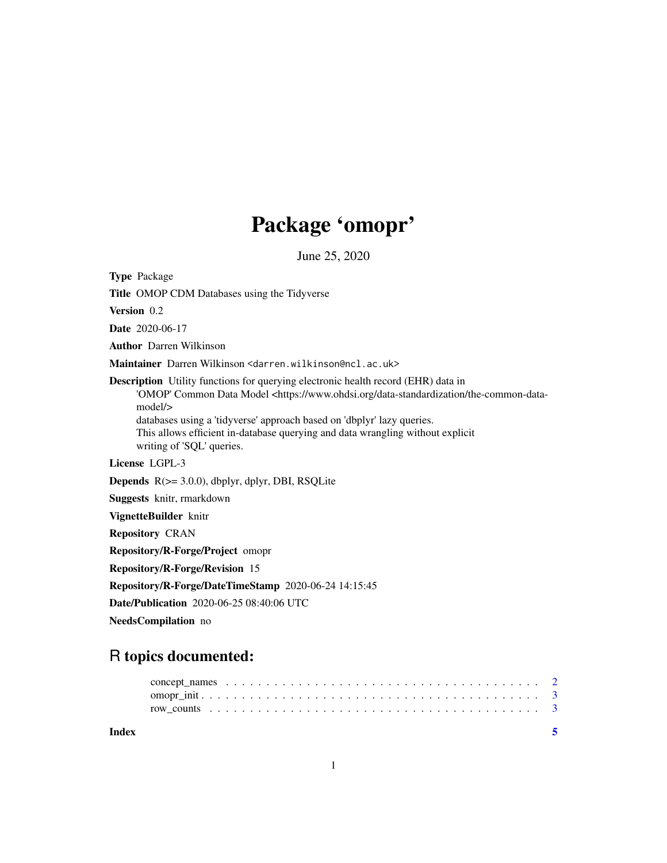## Package 'omopr'

June 25, 2020

<span id="page-0-0"></span>Type Package Title OMOP CDM Databases using the Tidyverse Version 0.2 Date 2020-06-17 Author Darren Wilkinson Maintainer Darren Wilkinson <darren.wilkinson@ncl.ac.uk> Description Utility functions for querying electronic health record (EHR) data in 'OMOP' Common Data Model <https://www.ohdsi.org/data-standardization/the-common-datamodel/> databases using a 'tidyverse' approach based on 'dbplyr' lazy queries. This allows efficient in-database querying and data wrangling without explicit writing of 'SQL' queries. License LGPL-3 Depends R(>= 3.0.0), dbplyr, dplyr, DBI, RSQLite Suggests knitr, rmarkdown VignetteBuilder knitr Repository CRAN Repository/R-Forge/Project omopr Repository/R-Forge/Revision 15 Repository/R-Forge/DateTimeStamp 2020-06-24 14:15:45 Date/Publication 2020-06-25 08:40:06 UTC NeedsCompilation no

### R topics documented:

| Index |  |
|-------|--|
|       |  |
|       |  |
|       |  |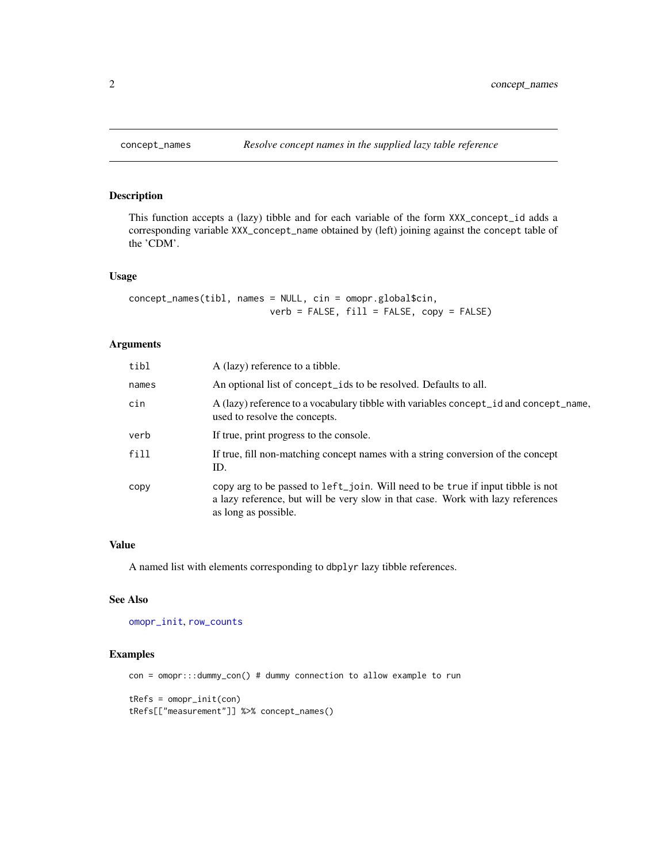#### Description

This function accepts a (lazy) tibble and for each variable of the form XXX\_concept\_id adds a corresponding variable XXX\_concept\_name obtained by (left) joining against the concept table of the 'CDM'.

#### Usage

```
concept_names(tibl, names = NULL, cin = omopr.global$cin,
                          verb = FALSE, fill = FALSE, copy = FALSE)
```
#### Arguments

| tibl  | A (lazy) reference to a tibble.                                                                                                                                                            |
|-------|--------------------------------------------------------------------------------------------------------------------------------------------------------------------------------------------|
| names | An optional list of concept_ids to be resolved. Defaults to all.                                                                                                                           |
| cin   | A (lazy) reference to a vocabulary tibble with variables concept_id and concept_name,<br>used to resolve the concepts.                                                                     |
| verb  | If true, print progress to the console.                                                                                                                                                    |
| fill  | If true, fill non-matching concept names with a string conversion of the concept<br>ID.                                                                                                    |
| copy  | copy arg to be passed to left_join. Will need to be true if input tibble is not<br>a lazy reference, but will be very slow in that case. Work with lazy references<br>as long as possible. |

#### Value

A named list with elements corresponding to dbplyr lazy tibble references.

#### See Also

[omopr\\_init](#page-2-1), [row\\_counts](#page-2-2)

#### Examples

```
con = omopr:::dummy_con() # dummy connection to allow example to run
tRefs = omopr_init(con)
tRefs[["measurement"]] %>% concept_names()
```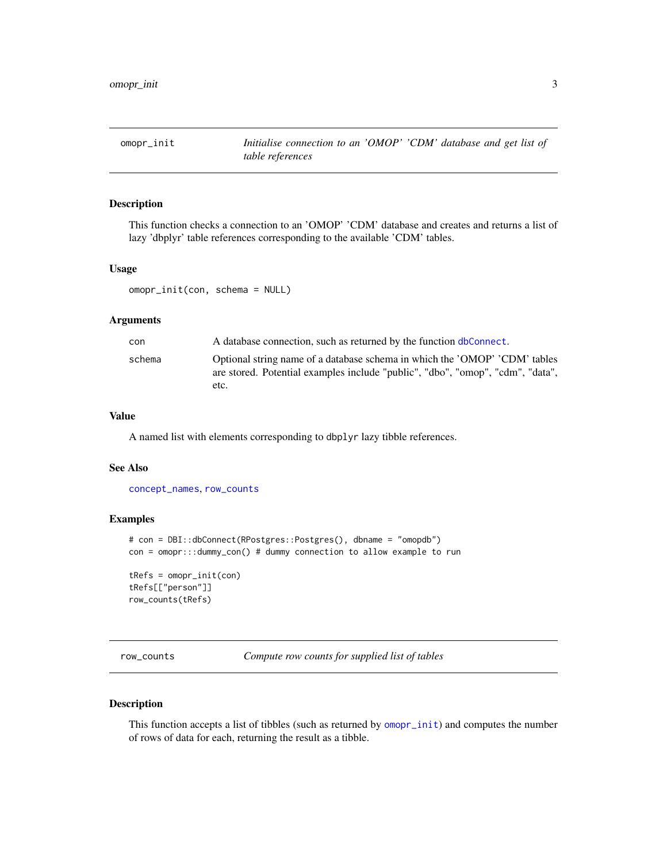<span id="page-2-1"></span><span id="page-2-0"></span>

#### Description

This function checks a connection to an 'OMOP' 'CDM' database and creates and returns a list of lazy 'dbplyr' table references corresponding to the available 'CDM' tables.

#### Usage

omopr\_init(con, schema = NULL)

#### Arguments

| con    | A database connection, such as returned by the function dbConnect.                                                                                                   |
|--------|----------------------------------------------------------------------------------------------------------------------------------------------------------------------|
| schema | Optional string name of a database schema in which the 'OMOP' 'CDM' tables<br>are stored. Potential examples include "public", "dbo", "omop", "cdm", "data",<br>etc. |
|        |                                                                                                                                                                      |

#### Value

A named list with elements corresponding to dbplyr lazy tibble references.

#### See Also

[concept\\_names](#page-1-1), [row\\_counts](#page-2-2)

#### Examples

```
# con = DBI::dbConnect(RPostgres::Postgres(), dbname = "omopdb")
con = omopr:::dummy_con() # dummy connection to allow example to run
tRefs = omopr_init(con)
tRefs[["person"]]
row_counts(tRefs)
```
<span id="page-2-2"></span>row\_counts *Compute row counts for supplied list of tables*

#### Description

This function accepts a list of tibbles (such as returned by [omopr\\_init](#page-2-1)) and computes the number of rows of data for each, returning the result as a tibble.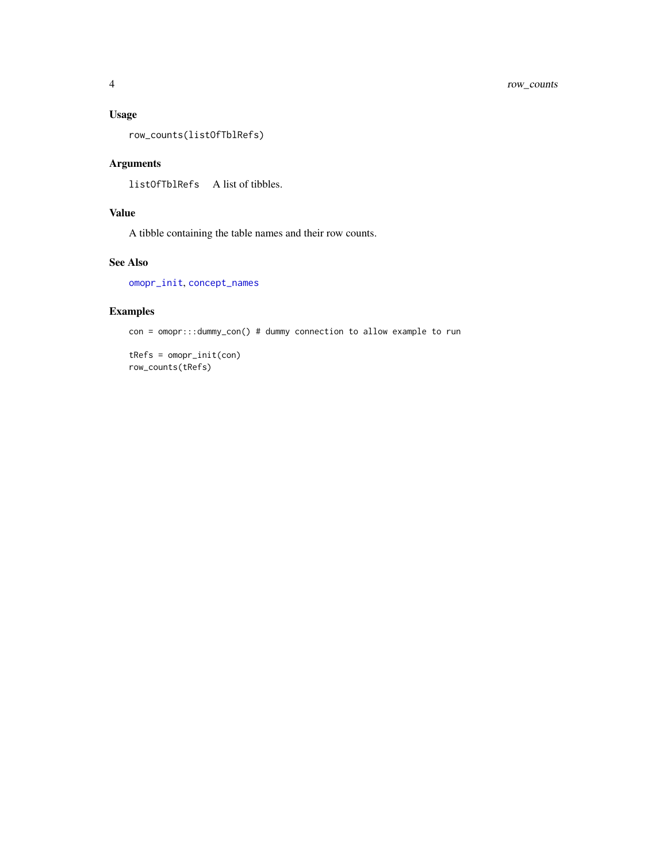#### <span id="page-3-0"></span>Usage

row\_counts(listOfTblRefs)

#### Arguments

listOfTblRefs A list of tibbles.

#### Value

A tibble containing the table names and their row counts.

#### See Also

[omopr\\_init](#page-2-1), [concept\\_names](#page-1-1)

#### Examples

con = omopr:::dummy\_con() # dummy connection to allow example to run

tRefs = omopr\_init(con) row\_counts(tRefs)